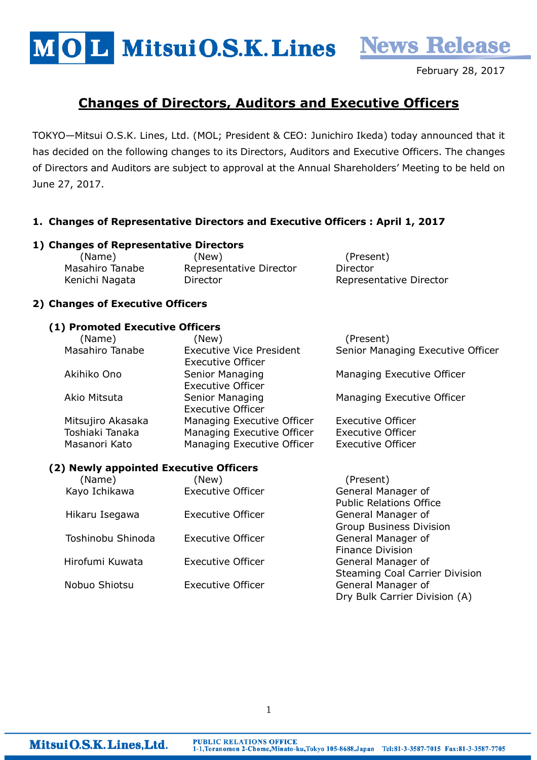MOL MitsuiO.S.K. Lines News Release

February 28, 2017

# Changes of Directors, Auditors and Executive Officers

TOKYO—Mitsui O.S.K. Lines, Ltd. (MOL; President & CEO: Junichiro Ikeda) today announced that it has decided on the following changes to its Directors, Auditors and Executive Officers. The changes of Directors and Auditors are subject to approval at the Annual Shareholders' Meeting to be held on June 27, 2017.

# 1. Changes of Representative Directors and Executive Officers : April 1, 2017

# 1) Changes of Representative Directors

| (Name)          | (New)                   | (Present)               |
|-----------------|-------------------------|-------------------------|
| Masahiro Tanabe | Representative Director | Director                |
| Kenichi Nagata  | Director                | Representative Director |

# 2) Changes of Executive Officers

#### (1) Promoted Executive Officers

| (Name)            | (New)                           | (Present)                         |
|-------------------|---------------------------------|-----------------------------------|
| Masahiro Tanabe   | <b>Executive Vice President</b> | Senior Managing Executive Officer |
|                   | <b>Executive Officer</b>        |                                   |
| Akihiko Ono       | Senior Managing                 | Managing Executive Officer        |
|                   | <b>Executive Officer</b>        |                                   |
| Akio Mitsuta      | Senior Managing                 | Managing Executive Officer        |
|                   | <b>Executive Officer</b>        |                                   |
| Mitsujiro Akasaka | Managing Executive Officer      | <b>Executive Officer</b>          |
| Toshiaki Tanaka   | Managing Executive Officer      | <b>Executive Officer</b>          |
| Masanori Kato     | Managing Executive Officer      | <b>Executive Officer</b>          |

#### (2) Newly appointed Executive Officers

| (Name)            | (New)                    | (Present)                             |
|-------------------|--------------------------|---------------------------------------|
| Kayo Ichikawa     | <b>Executive Officer</b> | General Manager of                    |
|                   |                          | <b>Public Relations Office</b>        |
| Hikaru Isegawa    | <b>Executive Officer</b> | General Manager of                    |
|                   |                          | <b>Group Business Division</b>        |
| Toshinobu Shinoda | <b>Executive Officer</b> | General Manager of                    |
|                   |                          | <b>Finance Division</b>               |
| Hirofumi Kuwata   | <b>Executive Officer</b> | General Manager of                    |
|                   |                          | <b>Steaming Coal Carrier Division</b> |
| Nobuo Shiotsu     | <b>Executive Officer</b> | General Manager of                    |
|                   |                          | Dry Bulk Carrier Division (A)         |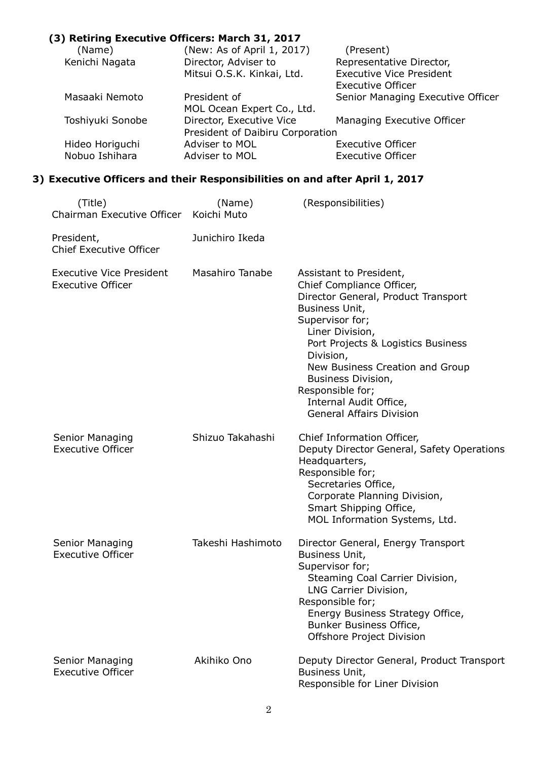## (3) Retiring Executive Officers: March 31, 2017 (Name) (New: As of April 1, 2017) (Present) Kenichi Nagata Director, Adviser to Representative Director, Mitsui O.S.K. Kinkai, Ltd. Executive Officer Masaaki Nemoto President of Senior Managing Executive Officer MOL Ocean Expert Co., Ltd. Toshiyuki Sonobe Director, Executive Vice Managing Executive Officer President of Daibiru Corporation<br>Adviser to MOL Hideo Horiguchi Adviser to MOL Executive Officer

## 3) Executive Officers and their Responsibilities on and after April 1, 2017

Nobuo Ishihara **Adviser to MOL** Executive Officer

| (Title)<br>Chairman Executive Officer                       | (Name)<br>Koichi Muto  | (Responsibilities)                                                                                                                                                                                                                                                                                                                               |
|-------------------------------------------------------------|------------------------|--------------------------------------------------------------------------------------------------------------------------------------------------------------------------------------------------------------------------------------------------------------------------------------------------------------------------------------------------|
| President,<br><b>Chief Executive Officer</b>                | Junichiro Ikeda        |                                                                                                                                                                                                                                                                                                                                                  |
| <b>Executive Vice President</b><br><b>Executive Officer</b> | <b>Masahiro Tanabe</b> | Assistant to President,<br>Chief Compliance Officer,<br>Director General, Product Transport<br>Business Unit,<br>Supervisor for;<br>Liner Division,<br>Port Projects & Logistics Business<br>Division,<br>New Business Creation and Group<br>Business Division,<br>Responsible for;<br>Internal Audit Office,<br><b>General Affairs Division</b> |
| Senior Managing<br><b>Executive Officer</b>                 | Shizuo Takahashi       | Chief Information Officer,<br>Deputy Director General, Safety Operations<br>Headquarters,<br>Responsible for;<br>Secretaries Office,<br>Corporate Planning Division,<br>Smart Shipping Office,<br>MOL Information Systems, Ltd.                                                                                                                  |
| Senior Managing<br><b>Executive Officer</b>                 | Takeshi Hashimoto      | Director General, Energy Transport<br>Business Unit,<br>Supervisor for;<br>Steaming Coal Carrier Division,<br>LNG Carrier Division,<br>Responsible for;<br>Energy Business Strategy Office,<br>Bunker Business Office,<br>Offshore Project Division                                                                                              |
| Senior Managing<br><b>Executive Officer</b>                 | Akihiko Ono            | Deputy Director General, Product Transport<br>Business Unit,<br>Responsible for Liner Division                                                                                                                                                                                                                                                   |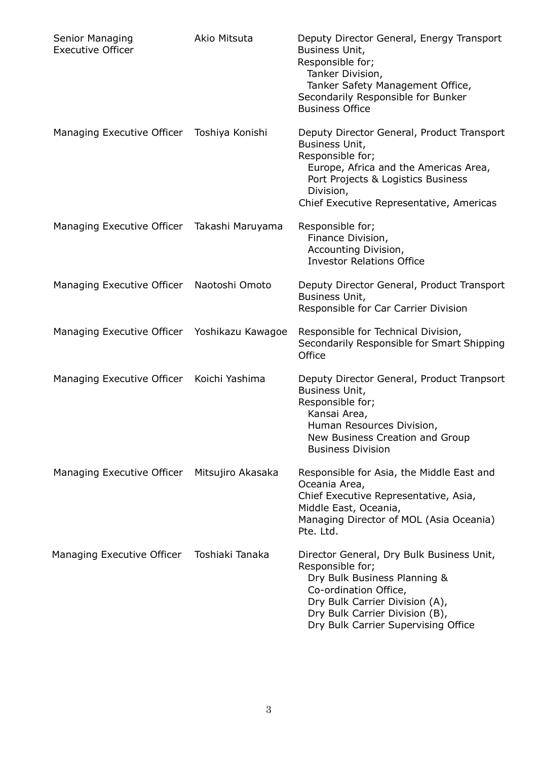| Senior Managing<br><b>Executive Officer</b>  | Akio Mitsuta    | Deputy Director General, Energy Transport<br>Business Unit,<br>Responsible for;<br>Tanker Division,<br>Tanker Safety Management Office,<br>Secondarily Responsible for Bunker<br><b>Business Office</b>                           |
|----------------------------------------------|-----------------|-----------------------------------------------------------------------------------------------------------------------------------------------------------------------------------------------------------------------------------|
| Managing Executive Officer Toshiya Konishi   |                 | Deputy Director General, Product Transport<br>Business Unit,<br>Responsible for;<br>Europe, Africa and the Americas Area,<br>Port Projects & Logistics Business<br>Division,<br>Chief Executive Representative, Americas          |
| Managing Executive Officer Takashi Maruyama  |                 | Responsible for;<br>Finance Division,<br>Accounting Division,<br><b>Investor Relations Office</b>                                                                                                                                 |
| Managing Executive Officer Naotoshi Omoto    |                 | Deputy Director General, Product Transport<br>Business Unit,<br>Responsible for Car Carrier Division                                                                                                                              |
| Managing Executive Officer Yoshikazu Kawagoe |                 | Responsible for Technical Division,<br>Secondarily Responsible for Smart Shipping<br>Office                                                                                                                                       |
| Managing Executive Officer Koichi Yashima    |                 | Deputy Director General, Product Tranpsort<br>Business Unit,<br>Responsible for;<br>Kansai Area,<br>Human Resources Division,<br>New Business Creation and Group<br><b>Business Division</b>                                      |
| Managing Executive Officer Mitsujiro Akasaka |                 | Responsible for Asia, the Middle East and<br>Oceania Area,<br>Chief Executive Representative, Asia,<br>Middle East, Oceania,<br>Managing Director of MOL (Asia Oceania)<br>Pte. Ltd.                                              |
| Managing Executive Officer                   | Toshiaki Tanaka | Director General, Dry Bulk Business Unit,<br>Responsible for;<br>Dry Bulk Business Planning &<br>Co-ordination Office,<br>Dry Bulk Carrier Division (A),<br>Dry Bulk Carrier Division (B),<br>Dry Bulk Carrier Supervising Office |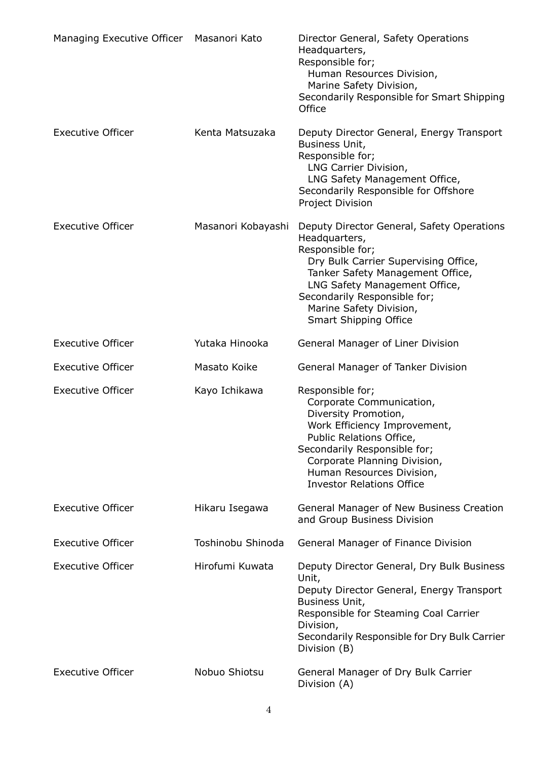| Managing Executive Officer Masanori Kato |                    | Director General, Safety Operations<br>Headquarters,<br>Responsible for;<br>Human Resources Division,<br>Marine Safety Division,<br>Secondarily Responsible for Smart Shipping<br>Office                                                                                                |
|------------------------------------------|--------------------|-----------------------------------------------------------------------------------------------------------------------------------------------------------------------------------------------------------------------------------------------------------------------------------------|
| <b>Executive Officer</b>                 | Kenta Matsuzaka    | Deputy Director General, Energy Transport<br>Business Unit,<br>Responsible for;<br>LNG Carrier Division,<br>LNG Safety Management Office,<br>Secondarily Responsible for Offshore<br>Project Division                                                                                   |
| <b>Executive Officer</b>                 | Masanori Kobayashi | Deputy Director General, Safety Operations<br>Headquarters,<br>Responsible for;<br>Dry Bulk Carrier Supervising Office,<br>Tanker Safety Management Office,<br>LNG Safety Management Office,<br>Secondarily Responsible for;<br>Marine Safety Division,<br><b>Smart Shipping Office</b> |
| <b>Executive Officer</b>                 | Yutaka Hinooka     | General Manager of Liner Division                                                                                                                                                                                                                                                       |
| <b>Executive Officer</b>                 | Masato Koike       | General Manager of Tanker Division                                                                                                                                                                                                                                                      |
| <b>Executive Officer</b>                 | Kayo Ichikawa      | Responsible for;<br>Corporate Communication,<br>Diversity Promotion,<br>Work Efficiency Improvement,<br>Public Relations Office,<br>Secondarily Responsible for;<br>Corporate Planning Division,<br>Human Resources Division,<br><b>Investor Relations Office</b>                       |
| <b>Executive Officer</b>                 | Hikaru Isegawa     | General Manager of New Business Creation<br>and Group Business Division                                                                                                                                                                                                                 |
| <b>Executive Officer</b>                 | Toshinobu Shinoda  | General Manager of Finance Division                                                                                                                                                                                                                                                     |
| <b>Executive Officer</b>                 | Hirofumi Kuwata    | Deputy Director General, Dry Bulk Business<br>Unit,<br>Deputy Director General, Energy Transport<br>Business Unit,<br>Responsible for Steaming Coal Carrier<br>Division,<br>Secondarily Responsible for Dry Bulk Carrier<br>Division (B)                                                |
| <b>Executive Officer</b>                 | Nobuo Shiotsu      | General Manager of Dry Bulk Carrier<br>Division (A)                                                                                                                                                                                                                                     |